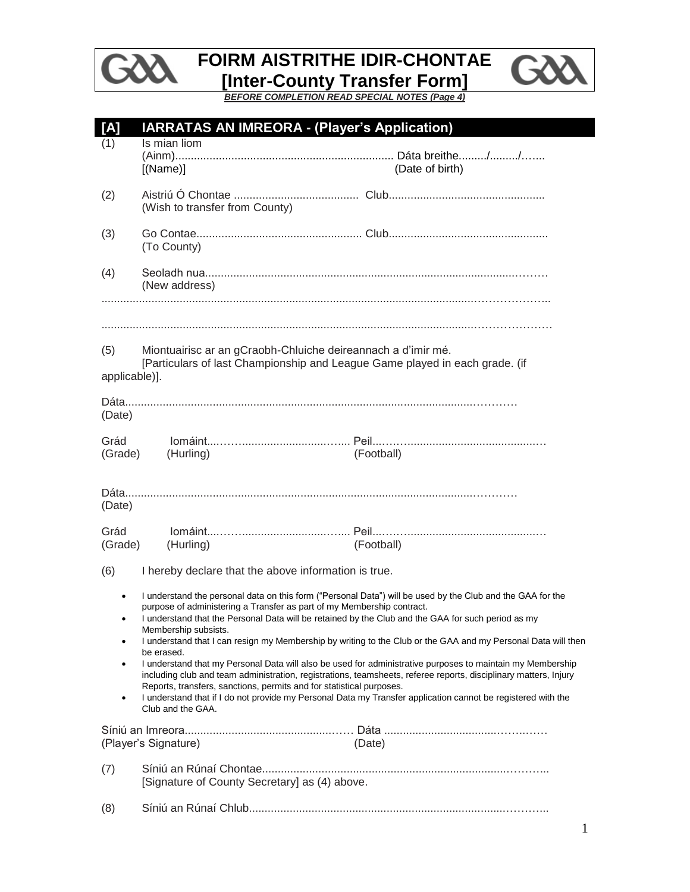

## **FOIRM AISTRITHE IDIR-CHONTAE [Inter-County Transfer Form]**



٠

*BEFORE COMPLETION READ SPECIAL NOTES (Page 4)*

| [A]                  | <b>IARRATAS AN IMREORA - (Player's Application)</b>                                                                                                                                                  |                                                                                                                                                                                                                                                                                                                                                                                                                                                                 |
|----------------------|------------------------------------------------------------------------------------------------------------------------------------------------------------------------------------------------------|-----------------------------------------------------------------------------------------------------------------------------------------------------------------------------------------------------------------------------------------------------------------------------------------------------------------------------------------------------------------------------------------------------------------------------------------------------------------|
| (1)                  | Is mian liom<br>[(Name)]                                                                                                                                                                             | (Date of birth)                                                                                                                                                                                                                                                                                                                                                                                                                                                 |
| (2)                  | (Wish to transfer from County)                                                                                                                                                                       |                                                                                                                                                                                                                                                                                                                                                                                                                                                                 |
| (3)                  | (To County)                                                                                                                                                                                          |                                                                                                                                                                                                                                                                                                                                                                                                                                                                 |
| (4)                  | (New address)                                                                                                                                                                                        |                                                                                                                                                                                                                                                                                                                                                                                                                                                                 |
| (5)<br>applicable)]. | Miontuairisc ar an gCraobh-Chluiche deireannach a d'imir mé.<br>[Particulars of last Championship and League Game played in each grade. (if                                                          |                                                                                                                                                                                                                                                                                                                                                                                                                                                                 |
| (Date)               |                                                                                                                                                                                                      |                                                                                                                                                                                                                                                                                                                                                                                                                                                                 |
| Grád<br>(Grade)      | (Hurling)                                                                                                                                                                                            | (Football)                                                                                                                                                                                                                                                                                                                                                                                                                                                      |
| (Date)               |                                                                                                                                                                                                      |                                                                                                                                                                                                                                                                                                                                                                                                                                                                 |
| Grád<br>(Grade)      | (Hurling)                                                                                                                                                                                            | (Football)                                                                                                                                                                                                                                                                                                                                                                                                                                                      |
| (6)                  | I hereby declare that the above information is true.                                                                                                                                                 |                                                                                                                                                                                                                                                                                                                                                                                                                                                                 |
|                      | purpose of administering a Transfer as part of my Membership contract.<br>I understand that the Personal Data will be retained by the Club and the GAA for such period as my<br>Membership subsists. | I understand the personal data on this form ("Personal Data") will be used by the Club and the GAA for the                                                                                                                                                                                                                                                                                                                                                      |
| ٠<br>٠<br>٠          | be erased.<br>Reports, transfers, sanctions, permits and for statistical purposes.<br>Club and the GAA.                                                                                              | I understand that I can resign my Membership by writing to the Club or the GAA and my Personal Data will then<br>I understand that my Personal Data will also be used for administrative purposes to maintain my Membership<br>including club and team administration, registrations, teamsheets, referee reports, disciplinary matters, Injury<br>I understand that if I do not provide my Personal Data my Transfer application cannot be registered with the |
|                      | (Player's Signature)                                                                                                                                                                                 | (Date)                                                                                                                                                                                                                                                                                                                                                                                                                                                          |
| (7)                  | [Signature of County Secretary] as (4) above.                                                                                                                                                        |                                                                                                                                                                                                                                                                                                                                                                                                                                                                 |
| (8)                  |                                                                                                                                                                                                      |                                                                                                                                                                                                                                                                                                                                                                                                                                                                 |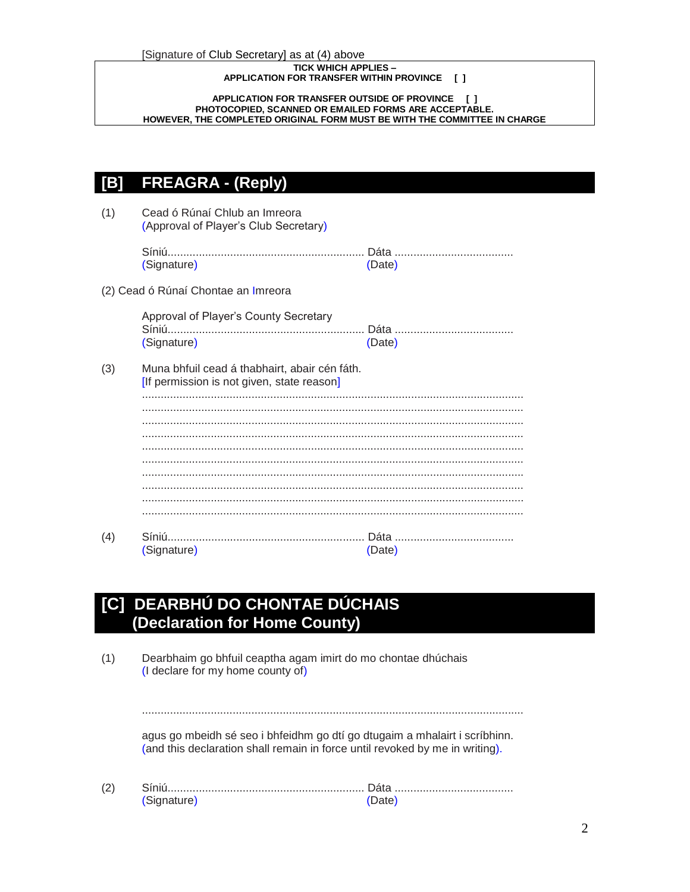#### **TICK WHICH APPLIES – APPLICATION FOR TRANSFER WITHIN PROVINCE [ ]**

#### **APPLICATION FOR TRANSFER OUTSIDE OF PROVINCE [ ] PHOTOCOPIED, SCANNED OR EMAILED FORMS ARE ACCEPTABLE. HOWEVER, THE COMPLETED ORIGINAL FORM MUST BE WITH THE COMMITTEE IN CHARGE**

## **[B] FREAGRA - (Reply)**

(1) Cead ó Rúnaí Chlub an Imreora (Approval of Player's Club Secretary) Síniú............................................................... Dáta ...................................... (Signature) (Date) (2) Cead ó Rúnaí Chontae an Imreora Approval of Player's County Secretary Síniú............................................................... Dáta ...................................... (Signature) (Date) (3) Muna bhfuil cead á thabhairt, abair cén fáth. [If permission is not given, state reason] .......................................................................................................................... .......................................................................................................................... .......................................................................................................................... .......................................................................................................................... .......................................................................................................................... .......................................................................................................................... .......................................................................................................................... .......................................................................................................................... .......................................................................................................................... .......................................................................................................................... (4) Síniú............................................................... Dáta ...................................... (Signature) (Date)

## **[C] DEARBHÚ DO CHONTAE DÚCHAIS (Declaration for Home County)**

(1) Dearbhaim go bhfuil ceaptha agam imirt do mo chontae dhúchais (I declare for my home county of) .......................................................................................................................... agus go mbeidh sé seo i bhfeidhm go dtí go dtugaim a mhalairt i scríbhinn. (and this declaration shall remain in force until revoked by me in writing). (2) Síniú............................................................... Dáta ...................................... (Signature) (Date)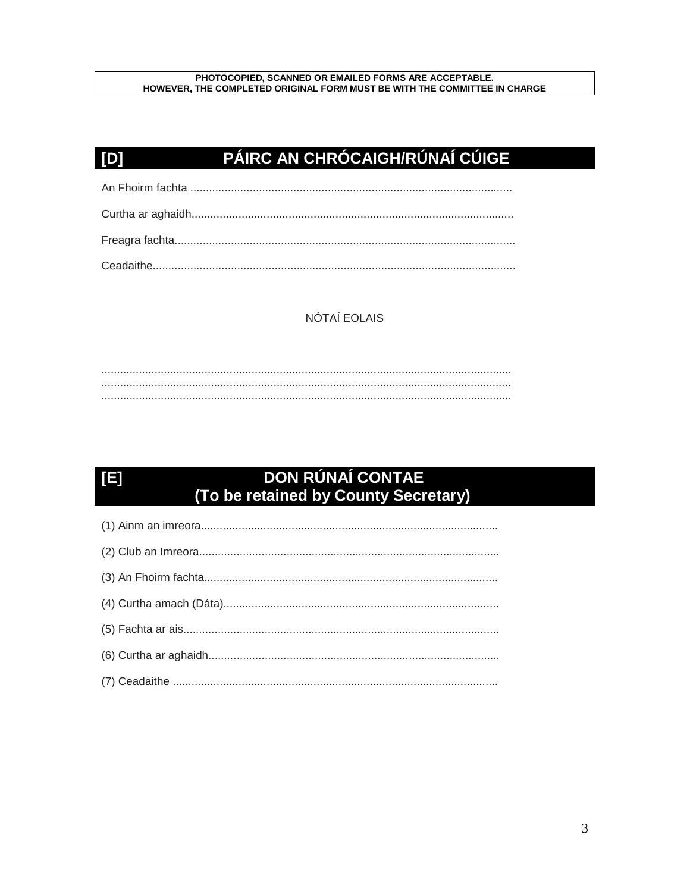#### PHOTOCOPIED, SCANNED OR EMAILED FORMS ARE ACCEPTABLE. HOWEVER, THE COMPLETED ORIGINAL FORM MUST BE WITH THE COMMITTEE IN CHARGE

## PÁIRC AN CHRÓCAIGH/RÚNAÍ CÚIGE

 $[D]$ 

 $[5]$ 

## NÓTAÍ EOLAIS

# DON RÚNAÍ CONTAE<br>(To be retained by County Secretary)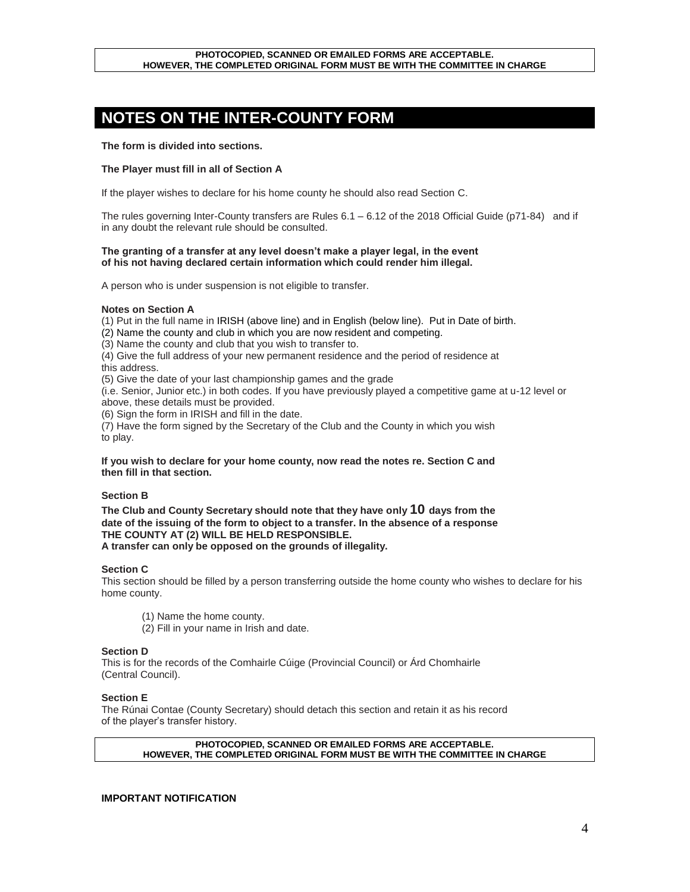#### **PHOTOCOPIED, SCANNED OR EMAILED FORMS ARE ACCEPTABLE. HOWEVER, THE COMPLETED ORIGINAL FORM MUST BE WITH THE COMMITTEE IN CHARGE**

## **NOTES ON THE INTER-COUNTY FORM**

**The form is divided into sections.**

#### **The Player must fill in all of Section A**

If the player wishes to declare for his home county he should also read Section C.

The rules governing Inter-County transfers are Rules 6.1 – 6.12 of the 2018 Official Guide (p71-84) and if in any doubt the relevant rule should be consulted.

#### **The granting of a transfer at any level doesn't make a player legal, in the event of his not having declared certain information which could render him illegal.**

A person who is under suspension is not eligible to transfer.

#### **Notes on Section A**

(1) Put in the full name in IRISH (above line) and in English (below line). Put in Date of birth.

(2) Name the county and club in which you are now resident and competing.

(3) Name the county and club that you wish to transfer to.

(4) Give the full address of your new permanent residence and the period of residence at this address.

(5) Give the date of your last championship games and the grade

(i.e. Senior, Junior etc.) in both codes. If you have previously played a competitive game at u-12 level or above, these details must be provided.

(6) Sign the form in IRISH and fill in the date.

(7) Have the form signed by the Secretary of the Club and the County in which you wish to play.

#### **If you wish to declare for your home county, now read the notes re. Section C and then fill in that section.**

#### **Section B**

**The Club and County Secretary should note that they have only 10 days from the date of the issuing of the form to object to a transfer. In the absence of a response THE COUNTY AT (2) WILL BE HELD RESPONSIBLE. A transfer can only be opposed on the grounds of illegality.**

#### **Section C**

This section should be filled by a person transferring outside the home county who wishes to declare for his home county.

- (1) Name the home county.
- (2) Fill in your name in Irish and date.

#### **Section D**

This is for the records of the Comhairle Cúige (Provincial Council) or Árd Chomhairle (Central Council).

#### **Section E**

The Rúnai Contae (County Secretary) should detach this section and retain it as his record of the player's transfer history.

**PHOTOCOPIED, SCANNED OR EMAILED FORMS ARE ACCEPTABLE. HOWEVER, THE COMPLETED ORIGINAL FORM MUST BE WITH THE COMMITTEE IN CHARGE**

#### **IMPORTANT NOTIFICATION**